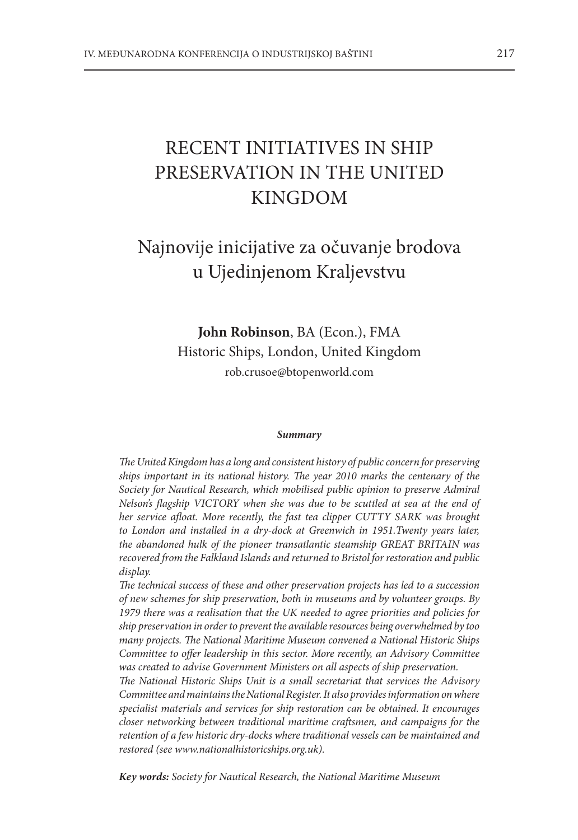# RECENT INITIATIVES IN SHIP PRESERVATION IN THE UNITED KINGDOM

# Najnovije inicijative za očuvanje brodova u Ujedinjenom Kraljevstvu

**John Robinson**, BA (Econ.), FMA Historic Ships, London, United Kingdom rob.crusoe@btopenworld.com

#### *Summary*

*The United Kingdom has a long and consistent history of public concern for preserving ships important in its national history. The year 2010 marks the centenary of the Society for Nautical Research, which mobilised public opinion to preserve Admiral Nelson's flagship VICTORY when she was due to be scuttled at sea at the end of her service afloat. More recently, the fast tea clipper CUTTY SARK was brought*  to London and installed in a dry-dock at Greenwich in 1951.Twenty years later, *the abandoned hulk of the pioneer transatlantic steamship GREAT BRITAIN was recovered from the Falkland Islands and returned to Bristol for restoration and public display.*

*The technical success of these and other preservation projects has led to a succession of new schemes for ship preservation, both in museums and by volunteer groups. By 1979 there was a realisation that the UK needed to agree priorities and policies for ship preservation in order to prevent the available resources being overwhelmed by too many projects. The National Maritime Museum convened a National Historic Ships Committee to offer leadership in this sector. More recently, an Advisory Committee was created to advise Government Ministers on all aspects of ship preservation.*

*The National Historic Ships Unit is a small secretariat that services the Advisory Committee and maintains the National Register. It also provides information on where specialist materials and services for ship restoration can be obtained. It encourages closer networking between traditional maritime craftsmen, and campaigns for the retention of a few historic dry-docks where traditional vessels can be maintained and restored (see www.nationalhistoricships.org.uk).*

*Key words: Society for Nautical Research, the National Maritime Museum*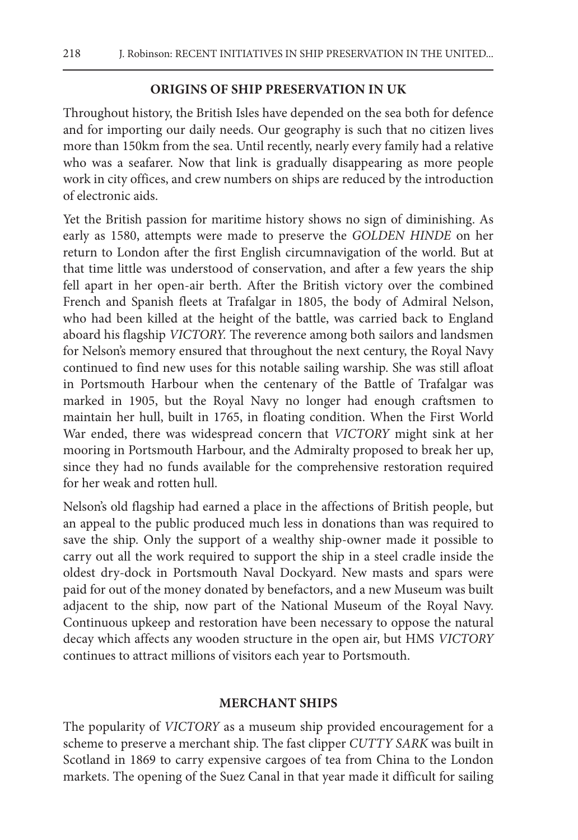### **Origins of SHip preservation in UK**

Throughout history, the British Isles have depended on the sea both for defence and for importing our daily needs. Our geography is such that no citizen lives more than 150km from the sea. Until recently, nearly every family had a relative who was a seafarer. Now that link is gradually disappearing as more people work in city offices, and crew numbers on ships are reduced by the introduction of electronic aids.

Yet the British passion for maritime history shows no sign of diminishing. As early as 1580, attempts were made to preserve the *GOLDEN HINDE* on her return to London after the first English circumnavigation of the world. But at that time little was understood of conservation, and after a few years the ship fell apart in her open-air berth. After the British victory over the combined French and Spanish fleets at Trafalgar in 1805, the body of Admiral Nelson, who had been killed at the height of the battle, was carried back to England aboard his flagship *VICTORY.* The reverence among both sailors and landsmen for Nelson's memory ensured that throughout the next century, the Royal Navy continued to find new uses for this notable sailing warship. She was still afloat in Portsmouth Harbour when the centenary of the Battle of Trafalgar was marked in 1905, but the Royal Navy no longer had enough craftsmen to maintain her hull, built in 1765, in floating condition. When the First World War ended, there was widespread concern that *VICTORY* might sink at her mooring in Portsmouth Harbour, and the Admiralty proposed to break her up, since they had no funds available for the comprehensive restoration required for her weak and rotten hull.

Nelson's old flagship had earned a place in the affections of British people, but an appeal to the public produced much less in donations than was required to save the ship. Only the support of a wealthy ship-owner made it possible to carry out all the work required to support the ship in a steel cradle inside the oldest dry-dock in Portsmouth Naval Dockyard. New masts and spars were paid for out of the money donated by benefactors, and a new Museum was built adjacent to the ship, now part of the National Museum of the Royal Navy. Continuous upkeep and restoration have been necessary to oppose the natural decay which affects any wooden structure in the open air, but HMS *VICTORY*  continues to attract millions of visitors each year to Portsmouth.

#### **MERCHANT SHIPS**

The popularity of *VICTORY* as a museum ship provided encouragement for a scheme to preserve a merchant ship. The fast clipper *CUTTY SARK* was built in Scotland in 1869 to carry expensive cargoes of tea from China to the London markets. The opening of the Suez Canal in that year made it difficult for sailing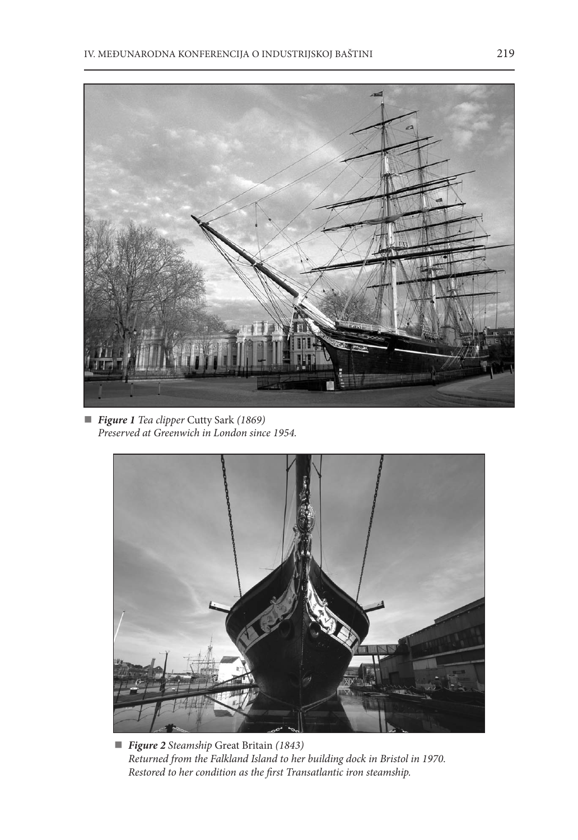

 *Figure 1 Tea clipper* Cutty Sark *(1869) Preserved at Greenwich in London since 1954.*



 *Figure 2 Steamship* Great Britain *(1843) Returned from the Falkland Island to her building dock in Bristol in 1970. Restored to her condition as the first Transatlantic iron steamship.*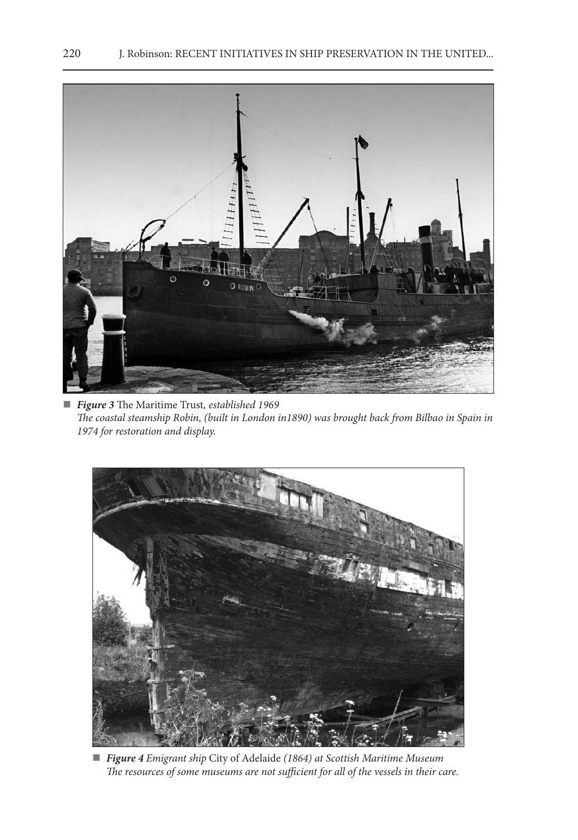

 *Figure 3* The Maritime Trust*, established 1969 The coastal steamship Robin, (built in London in1890) was brought back from Bilbao in Spain in 1974 for restoration and display.*



 *Figure 4 Emigrant ship* City of Adelaide *(1864) at Scottish Maritime Museum The resources of some museums are not sufficient for all of the vessels in their care.*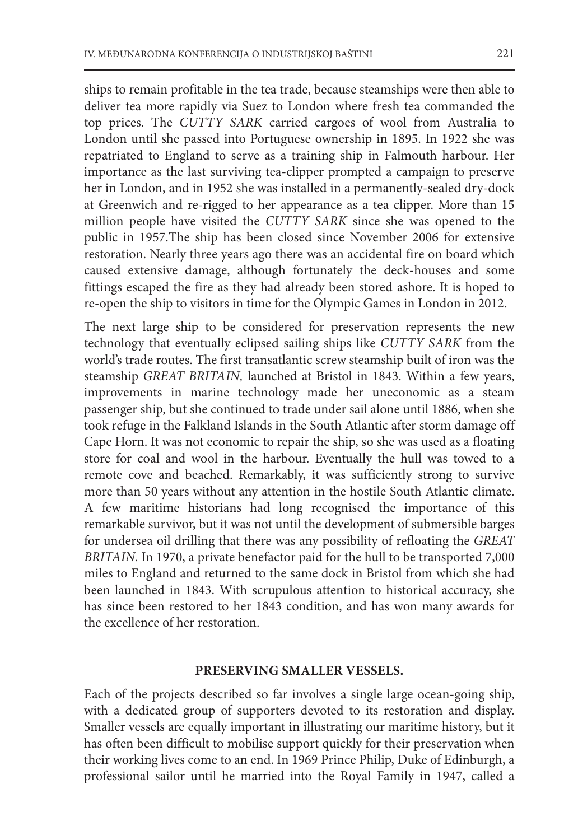ships to remain profitable in the tea trade, because steamships were then able to deliver tea more rapidly via Suez to London where fresh tea commanded the top prices. The *CUTTY SARK* carried cargoes of wool from Australia to London until she passed into Portuguese ownership in 1895. In 1922 she was repatriated to England to serve as a training ship in Falmouth harbour. Her importance as the last surviving tea-clipper prompted a campaign to preserve her in London, and in 1952 she was installed in a permanently-sealed dry-dock at Greenwich and re-rigged to her appearance as a tea clipper. More than 15 million people have visited the *CUTTY SARK* since she was opened to the public in 1957.The ship has been closed since November 2006 for extensive restoration. Nearly three years ago there was an accidental fire on board which caused extensive damage, although fortunately the deck-houses and some fittings escaped the fire as they had already been stored ashore. It is hoped to re-open the ship to visitors in time for the Olympic Games in London in 2012.

The next large ship to be considered for preservation represents the new technology that eventually eclipsed sailing ships like *CUTTY SARK* from the world's trade routes. The first transatlantic screw steamship built of iron was the steamship *GREAT BRITAIN,* launched at Bristol in 1843. Within a few years, improvements in marine technology made her uneconomic as a steam passenger ship, but she continued to trade under sail alone until 1886, when she took refuge in the Falkland Islands in the South Atlantic after storm damage off Cape Horn. It was not economic to repair the ship, so she was used as a floating store for coal and wool in the harbour. Eventually the hull was towed to a remote cove and beached. Remarkably, it was sufficiently strong to survive more than 50 years without any attention in the hostile South Atlantic climate. A few maritime historians had long recognised the importance of this remarkable survivor, but it was not until the development of submersible barges for undersea oil drilling that there was any possibility of refloating the *GREAT BRITAIN.* In 1970, a private benefactor paid for the hull to be transported 7,000 miles to England and returned to the same dock in Bristol from which she had been launched in 1843. With scrupulous attention to historical accuracy, she has since been restored to her 1843 condition, and has won many awards for the excellence of her restoration.

#### **PRESERVING SMALLER VESSELS.**

Each of the projects described so far involves a single large ocean-going ship, with a dedicated group of supporters devoted to its restoration and display. Smaller vessels are equally important in illustrating our maritime history, but it has often been difficult to mobilise support quickly for their preservation when their working lives come to an end. In 1969 Prince Philip, Duke of Edinburgh, a professional sailor until he married into the Royal Family in 1947, called a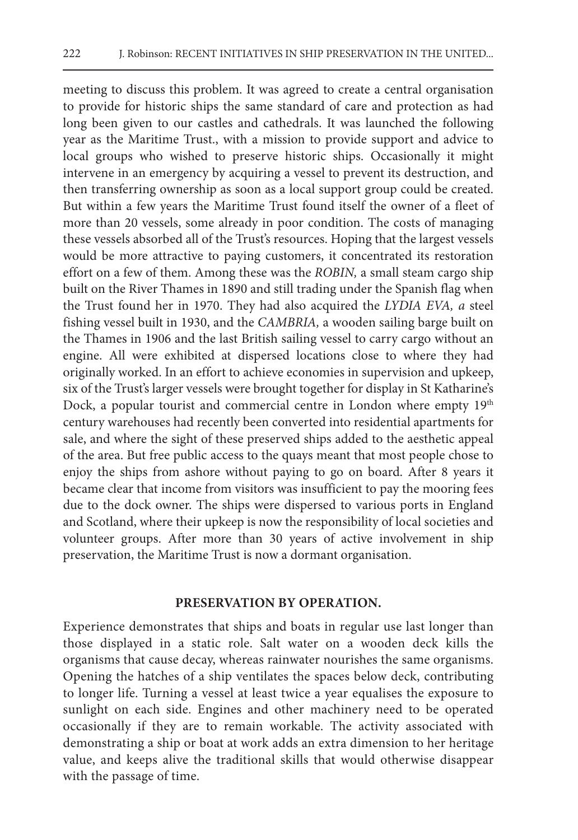meeting to discuss this problem. It was agreed to create a central organisation to provide for historic ships the same standard of care and protection as had long been given to our castles and cathedrals. It was launched the following year as the Maritime Trust., with a mission to provide support and advice to local groups who wished to preserve historic ships. Occasionally it might intervene in an emergency by acquiring a vessel to prevent its destruction, and then transferring ownership as soon as a local support group could be created. But within a few years the Maritime Trust found itself the owner of a fleet of more than 20 vessels, some already in poor condition. The costs of managing these vessels absorbed all of the Trust's resources. Hoping that the largest vessels would be more attractive to paying customers, it concentrated its restoration effort on a few of them. Among these was the *ROBIN,* a small steam cargo ship built on the River Thames in 1890 and still trading under the Spanish flag when the Trust found her in 1970. They had also acquired the *LYDIA EVA, a* steel fishing vessel built in 1930, and the *CAMBRIA,* a wooden sailing barge built on the Thames in 1906 and the last British sailing vessel to carry cargo without an engine. All were exhibited at dispersed locations close to where they had originally worked. In an effort to achieve economies in supervision and upkeep, six of the Trust's larger vessels were brought together for display in St Katharine's Dock, a popular tourist and commercial centre in London where empty 19<sup>th</sup> century warehouses had recently been converted into residential apartments for sale, and where the sight of these preserved ships added to the aesthetic appeal of the area. But free public access to the quays meant that most people chose to enjoy the ships from ashore without paying to go on board. After 8 years it became clear that income from visitors was insufficient to pay the mooring fees due to the dock owner. The ships were dispersed to various ports in England and Scotland, where their upkeep is now the responsibility of local societies and volunteer groups. After more than 30 years of active involvement in ship preservation, the Maritime Trust is now a dormant organisation.

#### **PRESERVATION BY OPERATION.**

Experience demonstrates that ships and boats in regular use last longer than those displayed in a static role. Salt water on a wooden deck kills the organisms that cause decay, whereas rainwater nourishes the same organisms. Opening the hatches of a ship ventilates the spaces below deck, contributing to longer life. Turning a vessel at least twice a year equalises the exposure to sunlight on each side. Engines and other machinery need to be operated occasionally if they are to remain workable. The activity associated with demonstrating a ship or boat at work adds an extra dimension to her heritage value, and keeps alive the traditional skills that would otherwise disappear with the passage of time.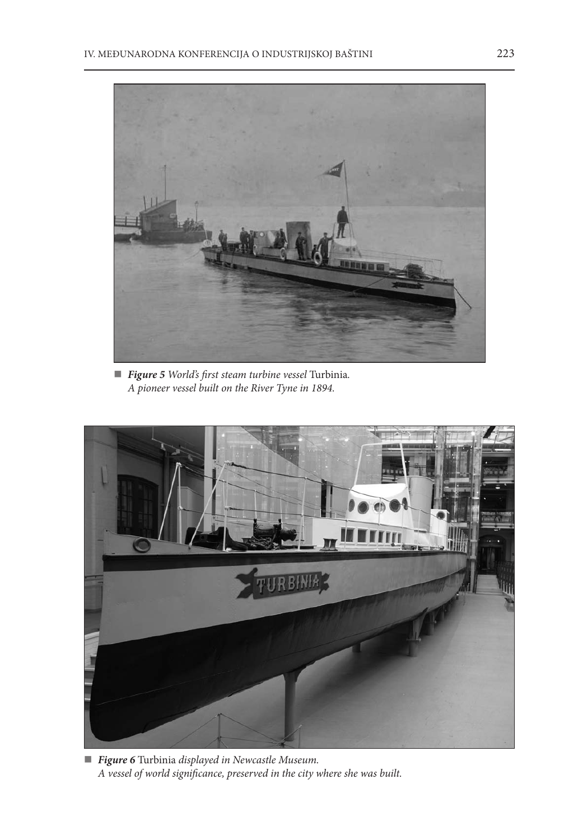

 *Figure 5 World's first steam turbine vessel* Turbinia*. A pioneer vessel built on the River Tyne in 1894.*



 *Figure 6* Turbinia *displayed in Newcastle Museum. A vessel of world significance, preserved in the city where she was built.*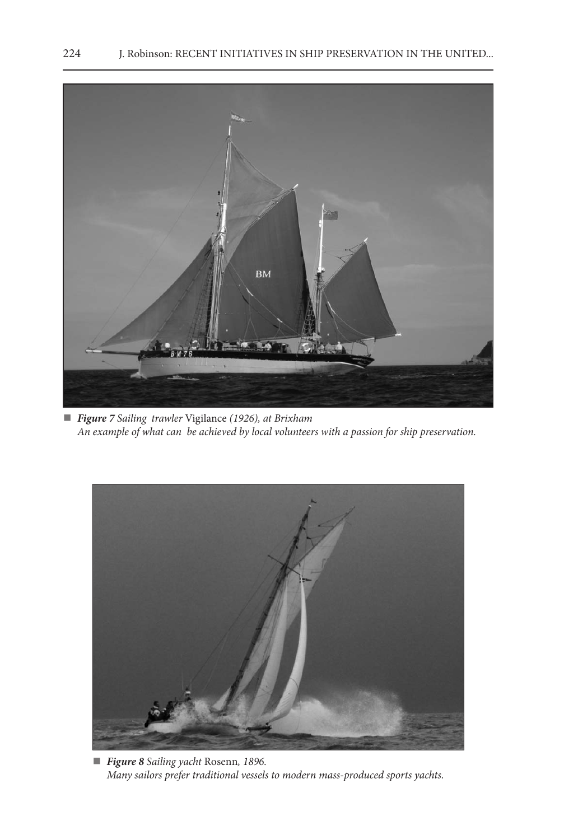

 *Figure 7 Sailing trawler* Vigilance *(1926), at Brixham An example of what can be achieved by local volunteers with a passion for ship preservation.*



 *Figure 8 Sailing yacht* Rosenn*, 1896. Many sailors prefer traditional vessels to modern mass-produced sports yachts.*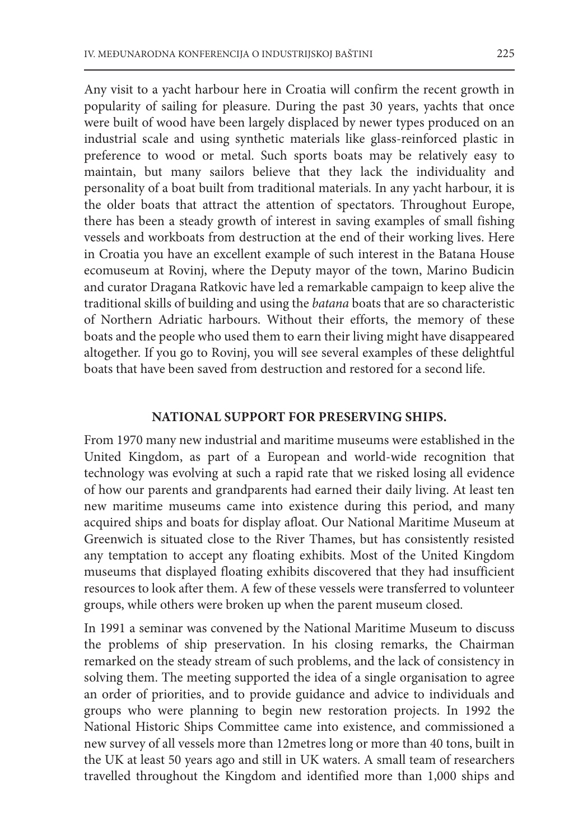Any visit to a yacht harbour here in Croatia will confirm the recent growth in popularity of sailing for pleasure. During the past 30 years, yachts that once were built of wood have been largely displaced by newer types produced on an industrial scale and using synthetic materials like glass-reinforced plastic in preference to wood or metal. Such sports boats may be relatively easy to maintain, but many sailors believe that they lack the individuality and personality of a boat built from traditional materials. In any yacht harbour, it is the older boats that attract the attention of spectators. Throughout Europe, there has been a steady growth of interest in saving examples of small fishing vessels and workboats from destruction at the end of their working lives. Here in Croatia you have an excellent example of such interest in the Batana House ecomuseum at Rovinj, where the Deputy mayor of the town, Marino Budicin and curator Dragana Ratkovic have led a remarkable campaign to keep alive the traditional skills of building and using the *batana* boats that are so characteristic of Northern Adriatic harbours. Without their efforts, the memory of these boats and the people who used them to earn their living might have disappeared altogether. If you go to Rovinj, you will see several examples of these delightful boats that have been saved from destruction and restored for a second life.

#### **NATIONAL SUPPORT FOR PRESERVING SHIPS.**

From 1970 many new industrial and maritime museums were established in the United Kingdom, as part of a European and world-wide recognition that technology was evolving at such a rapid rate that we risked losing all evidence of how our parents and grandparents had earned their daily living. At least ten new maritime museums came into existence during this period, and many acquired ships and boats for display afloat. Our National Maritime Museum at Greenwich is situated close to the River Thames, but has consistently resisted any temptation to accept any floating exhibits. Most of the United Kingdom museums that displayed floating exhibits discovered that they had insufficient resources to look after them. A few of these vessels were transferred to volunteer groups, while others were broken up when the parent museum closed.

In 1991 a seminar was convened by the National Maritime Museum to discuss the problems of ship preservation. In his closing remarks, the Chairman remarked on the steady stream of such problems, and the lack of consistency in solving them. The meeting supported the idea of a single organisation to agree an order of priorities, and to provide guidance and advice to individuals and groups who were planning to begin new restoration projects. In 1992 the National Historic Ships Committee came into existence, and commissioned a new survey of all vessels more than 12metres long or more than 40 tons, built in the UK at least 50 years ago and still in UK waters. A small team of researchers travelled throughout the Kingdom and identified more than 1,000 ships and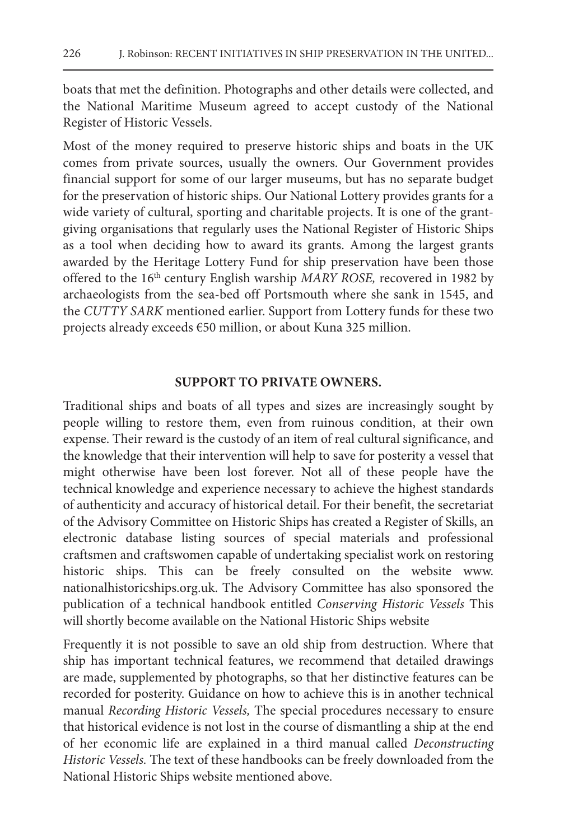boats that met the definition. Photographs and other details were collected, and the National Maritime Museum agreed to accept custody of the National Register of Historic Vessels.

Most of the money required to preserve historic ships and boats in the UK comes from private sources, usually the owners. Our Government provides financial support for some of our larger museums, but has no separate budget for the preservation of historic ships. Our National Lottery provides grants for a wide variety of cultural, sporting and charitable projects. It is one of the grantgiving organisations that regularly uses the National Register of Historic Ships as a tool when deciding how to award its grants. Among the largest grants awarded by the Heritage Lottery Fund for ship preservation have been those offered to the 16th century English warship *MARY ROSE,* recovered in 1982 by archaeologists from the sea-bed off Portsmouth where she sank in 1545, and the *CUTTY SARK* mentioned earlier. Support from Lottery funds for these two projects already exceeds €50 million, or about Kuna 325 million.

#### **SUPPORT TO PRIVATE OWNERS.**

Traditional ships and boats of all types and sizes are increasingly sought by people willing to restore them, even from ruinous condition, at their own expense. Their reward is the custody of an item of real cultural significance, and the knowledge that their intervention will help to save for posterity a vessel that might otherwise have been lost forever. Not all of these people have the technical knowledge and experience necessary to achieve the highest standards of authenticity and accuracy of historical detail. For their benefit, the secretariat of the Advisory Committee on Historic Ships has created a Register of Skills, an electronic database listing sources of special materials and professional craftsmen and craftswomen capable of undertaking specialist work on restoring historic ships. This can be freely consulted on the website www. nationalhistoricships.org.uk. The Advisory Committee has also sponsored the publication of a technical handbook entitled *Conserving Historic Vessels* This will shortly become available on the National Historic Ships website

Frequently it is not possible to save an old ship from destruction. Where that ship has important technical features, we recommend that detailed drawings are made, supplemented by photographs, so that her distinctive features can be recorded for posterity. Guidance on how to achieve this is in another technical manual *Recording Historic Vessels,* The special procedures necessary to ensure that historical evidence is not lost in the course of dismantling a ship at the end of her economic life are explained in a third manual called *Deconstructing Historic Vessels.* The text of these handbooks can be freely downloaded from the National Historic Ships website mentioned above.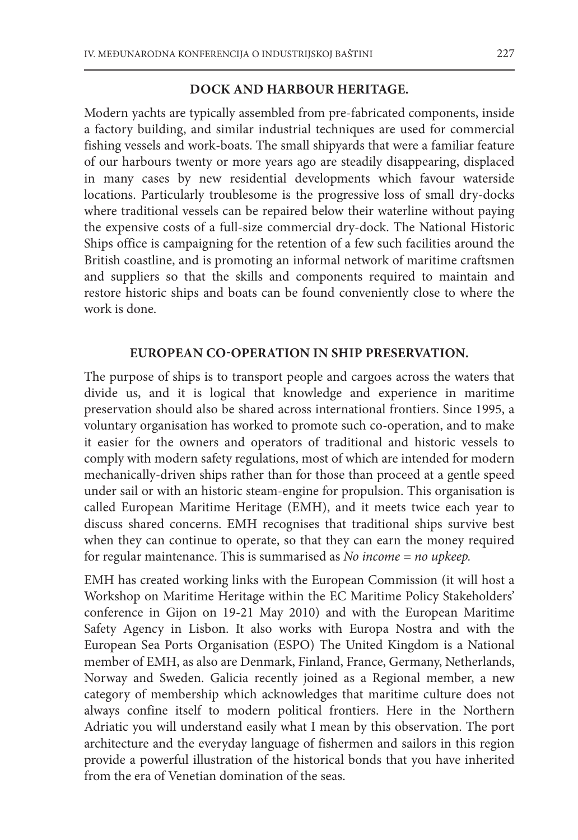#### **DOCK AND HARBOUR HERITAGE.**

Modern yachts are typically assembled from pre-fabricated components, inside a factory building, and similar industrial techniques are used for commercial fishing vessels and work-boats. The small shipyards that were a familiar feature of our harbours twenty or more years ago are steadily disappearing, displaced in many cases by new residential developments which favour waterside locations. Particularly troublesome is the progressive loss of small dry-docks where traditional vessels can be repaired below their waterline without paying the expensive costs of a full-size commercial dry-dock. The National Historic Ships office is campaigning for the retention of a few such facilities around the British coastline, and is promoting an informal network of maritime craftsmen and suppliers so that the skills and components required to maintain and restore historic ships and boats can be found conveniently close to where the work is done.

#### **EUROPEAN CO-OPERATION IN SHIP PRESERVATION.**

The purpose of ships is to transport people and cargoes across the waters that divide us, and it is logical that knowledge and experience in maritime preservation should also be shared across international frontiers. Since 1995, a voluntary organisation has worked to promote such co-operation, and to make it easier for the owners and operators of traditional and historic vessels to comply with modern safety regulations, most of which are intended for modern mechanically-driven ships rather than for those than proceed at a gentle speed under sail or with an historic steam-engine for propulsion. This organisation is called European Maritime Heritage (EMH), and it meets twice each year to discuss shared concerns. EMH recognises that traditional ships survive best when they can continue to operate, so that they can earn the money required for regular maintenance. This is summarised as *No income = no upkeep.*

EMH has created working links with the European Commission (it will host a Workshop on Maritime Heritage within the EC Maritime Policy Stakeholders' conference in Gijon on 19-21 May 2010) and with the European Maritime Safety Agency in Lisbon. It also works with Europa Nostra and with the European Sea Ports Organisation (ESPO) The United Kingdom is a National member of EMH, as also are Denmark, Finland, France, Germany, Netherlands, Norway and Sweden. Galicia recently joined as a Regional member, a new category of membership which acknowledges that maritime culture does not always confine itself to modern political frontiers. Here in the Northern Adriatic you will understand easily what I mean by this observation. The port architecture and the everyday language of fishermen and sailors in this region provide a powerful illustration of the historical bonds that you have inherited from the era of Venetian domination of the seas.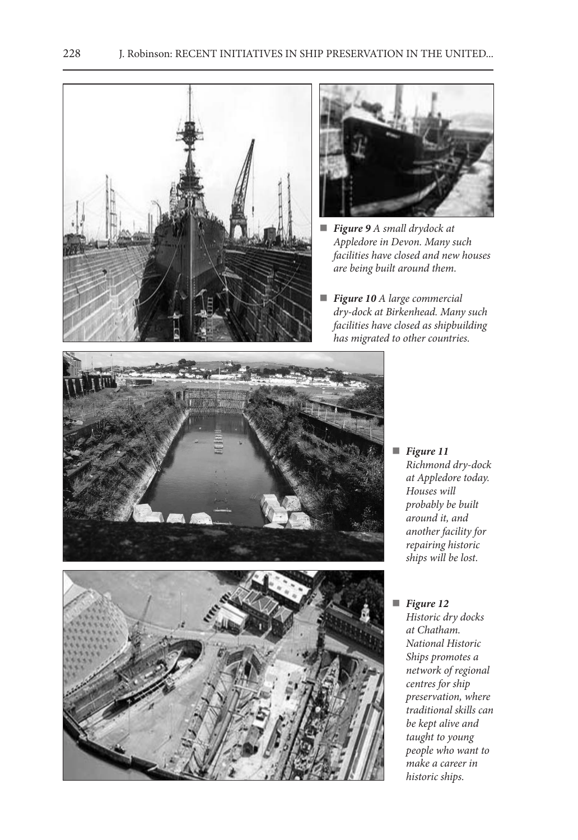



- *Figure 9 A small drydock at Appledore in Devon. Many such facilities have closed and new houses are being built around them.*
- *Figure 10 A large commercial dry-dock at Birkenhead. Many such facilities have closed as shipbuilding has migrated to other countries.*







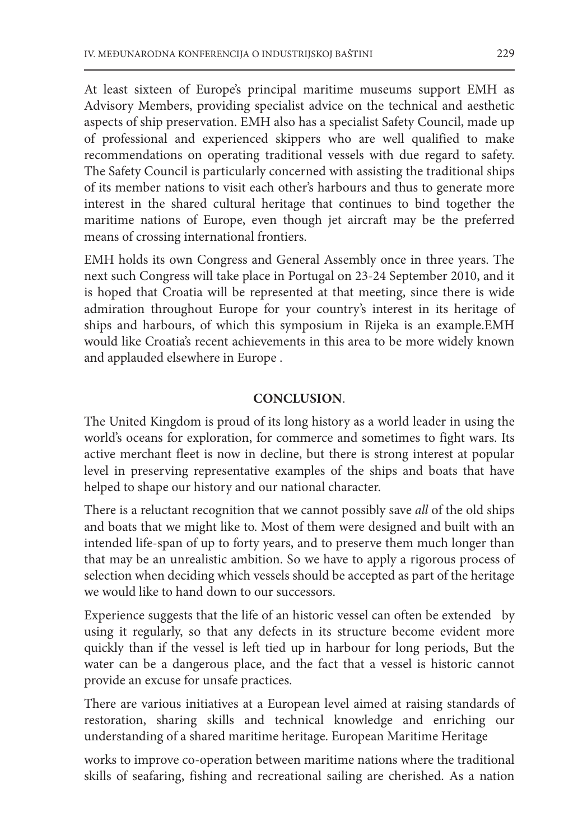At least sixteen of Europe's principal maritime museums support EMH as Advisory Members, providing specialist advice on the technical and aesthetic aspects of ship preservation. EMH also has a specialist Safety Council, made up of professional and experienced skippers who are well qualified to make recommendations on operating traditional vessels with due regard to safety. The Safety Council is particularly concerned with assisting the traditional ships of its member nations to visit each other's harbours and thus to generate more interest in the shared cultural heritage that continues to bind together the maritime nations of Europe, even though jet aircraft may be the preferred means of crossing international frontiers.

EMH holds its own Congress and General Assembly once in three years. The next such Congress will take place in Portugal on 23-24 September 2010, and it is hoped that Croatia will be represented at that meeting, since there is wide admiration throughout Europe for your country's interest in its heritage of ships and harbours, of which this symposium in Rijeka is an example.EMH would like Croatia's recent achievements in this area to be more widely known and applauded elsewhere in Europe .

### **CONCLUSION**.

The United Kingdom is proud of its long history as a world leader in using the world's oceans for exploration, for commerce and sometimes to fight wars. Its active merchant fleet is now in decline, but there is strong interest at popular level in preserving representative examples of the ships and boats that have helped to shape our history and our national character.

There is a reluctant recognition that we cannot possibly save *all* of the old ships and boats that we might like to. Most of them were designed and built with an intended life-span of up to forty years, and to preserve them much longer than that may be an unrealistic ambition. So we have to apply a rigorous process of selection when deciding which vessels should be accepted as part of the heritage we would like to hand down to our successors.

Experience suggests that the life of an historic vessel can often be extended by using it regularly, so that any defects in its structure become evident more quickly than if the vessel is left tied up in harbour for long periods, But the water can be a dangerous place, and the fact that a vessel is historic cannot provide an excuse for unsafe practices.

There are various initiatives at a European level aimed at raising standards of restoration, sharing skills and technical knowledge and enriching our understanding of a shared maritime heritage. European Maritime Heritage

works to improve co-operation between maritime nations where the traditional skills of seafaring, fishing and recreational sailing are cherished. As a nation